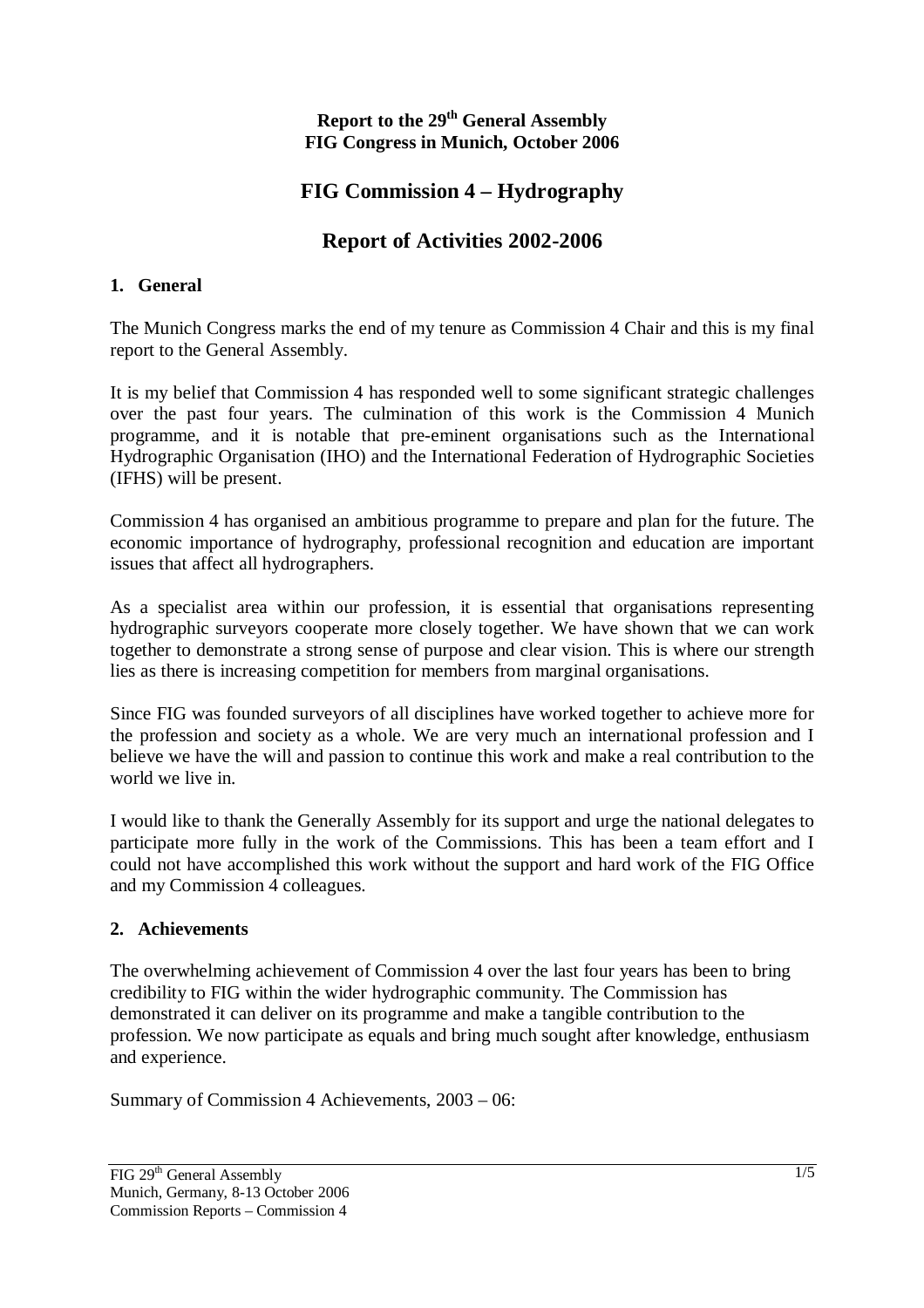## **Report to the 29<sup>th</sup> General Assembly FIG Congress in Munich, October 2006**

# **FIG Commission 4 – Hydrography**

# **Report of Activities 2002-2006**

#### **1. General**

The Munich Congress marks the end of my tenure as Commission 4 Chair and this is my final report to the General Assembly.

It is my belief that Commission 4 has responded well to some significant strategic challenges over the past four years. The culmination of this work is the Commission 4 Munich programme, and it is notable that pre-eminent organisations such as the International Hydrographic Organisation (IHO) and the International Federation of Hydrographic Societies (IFHS) will be present.

Commission 4 has organised an ambitious programme to prepare and plan for the future. The economic importance of hydrography, professional recognition and education are important issues that affect all hydrographers.

As a specialist area within our profession, it is essential that organisations representing hydrographic surveyors cooperate more closely together. We have shown that we can work together to demonstrate a strong sense of purpose and clear vision. This is where our strength lies as there is increasing competition for members from marginal organisations.

Since FIG was founded surveyors of all disciplines have worked together to achieve more for the profession and society as a whole. We are very much an international profession and I believe we have the will and passion to continue this work and make a real contribution to the world we live in.

I would like to thank the Generally Assembly for its support and urge the national delegates to participate more fully in the work of the Commissions. This has been a team effort and I could not have accomplished this work without the support and hard work of the FIG Office and my Commission 4 colleagues.

#### **2. Achievements**

The overwhelming achievement of Commission 4 over the last four years has been to bring credibility to FIG within the wider hydrographic community. The Commission has demonstrated it can deliver on its programme and make a tangible contribution to the profession. We now participate as equals and bring much sought after knowledge, enthusiasm and experience.

Summary of Commission 4 Achievements, 2003 – 06: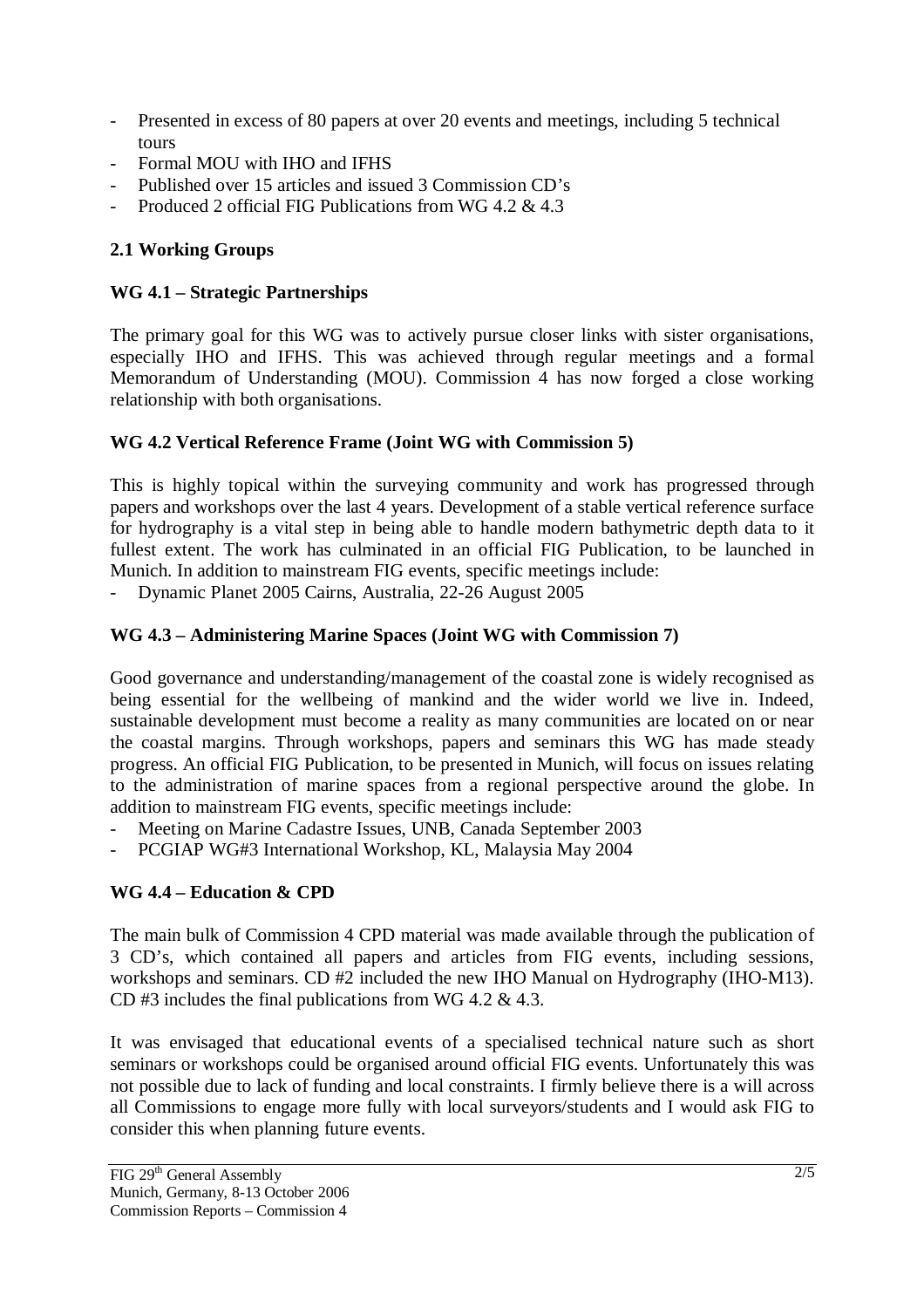- Presented in excess of 80 papers at over 20 events and meetings, including 5 technical tours
- Formal MOU with IHO and IFHS
- Published over 15 articles and issued 3 Commission CD's
- Produced 2 official FIG Publications from WG 4.2 & 4.3

# **2.1 Working Groups**

## **WG 4.1 – Strategic Partnerships**

The primary goal for this WG was to actively pursue closer links with sister organisations, especially IHO and IFHS. This was achieved through regular meetings and a formal Memorandum of Understanding (MOU). Commission 4 has now forged a close working relationship with both organisations.

## **WG 4.2 Vertical Reference Frame (Joint WG with Commission 5)**

This is highly topical within the surveying community and work has progressed through papers and workshops over the last 4 years. Development of a stable vertical reference surface for hydrography is a vital step in being able to handle modern bathymetric depth data to it fullest extent. The work has culminated in an official FIG Publication, to be launched in Munich. In addition to mainstream FIG events, specific meetings include:

- Dynamic Planet 2005 Cairns, Australia, 22-26 August 2005

# **WG 4.3 – Administering Marine Spaces (Joint WG with Commission 7)**

Good governance and understanding/management of the coastal zone is widely recognised as being essential for the wellbeing of mankind and the wider world we live in. Indeed, sustainable development must become a reality as many communities are located on or near the coastal margins. Through workshops, papers and seminars this WG has made steady progress. An official FIG Publication, to be presented in Munich, will focus on issues relating to the administration of marine spaces from a regional perspective around the globe. In addition to mainstream FIG events, specific meetings include:

- Meeting on Marine Cadastre Issues, UNB, Canada September 2003
- PCGIAP WG#3 International Workshop, KL, Malaysia May 2004

# **WG 4.4 – Education & CPD**

The main bulk of Commission 4 CPD material was made available through the publication of 3 CD's, which contained all papers and articles from FIG events, including sessions, workshops and seminars. CD #2 included the new IHO Manual on Hydrography (IHO-M13). CD #3 includes the final publications from WG 4.2 & 4.3.

It was envisaged that educational events of a specialised technical nature such as short seminars or workshops could be organised around official FIG events. Unfortunately this was not possible due to lack of funding and local constraints. I firmly believe there is a will across all Commissions to engage more fully with local surveyors/students and I would ask FIG to consider this when planning future events.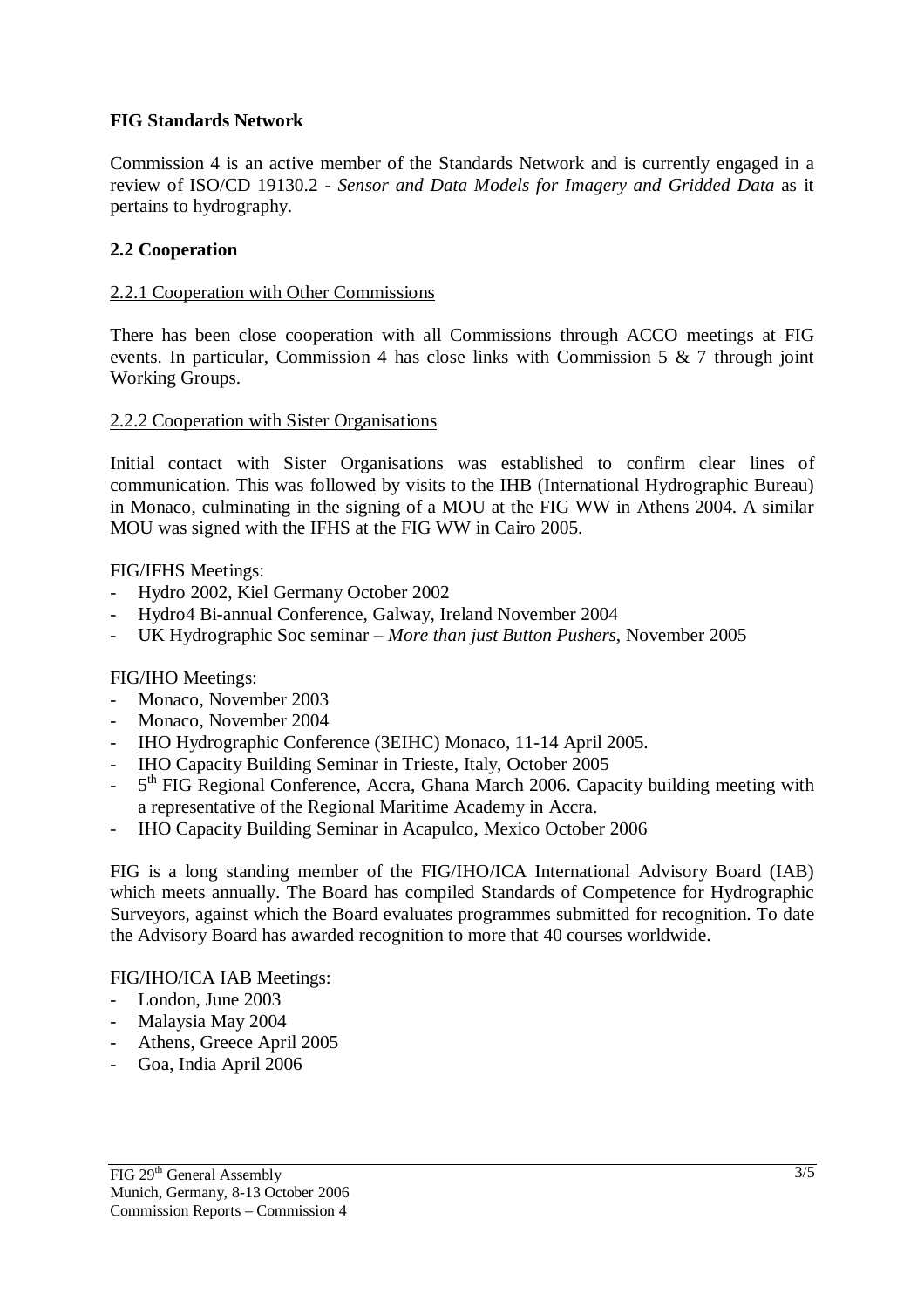## **FIG Standards Network**

Commission 4 is an active member of the Standards Network and is currently engaged in a review of ISO/CD 19130.2 - *Sensor and Data Models for Imagery and Gridded Data* as it pertains to hydrography.

## **2.2 Cooperation**

#### 2.2.1 Cooperation with Other Commissions

There has been close cooperation with all Commissions through ACCO meetings at FIG events. In particular, Commission 4 has close links with Commission 5 & 7 through joint Working Groups.

#### 2.2.2 Cooperation with Sister Organisations

Initial contact with Sister Organisations was established to confirm clear lines of communication. This was followed by visits to the IHB (International Hydrographic Bureau) in Monaco, culminating in the signing of a MOU at the FIG WW in Athens 2004. A similar MOU was signed with the IFHS at the FIG WW in Cairo 2005.

FIG/IFHS Meetings:

- Hydro 2002, Kiel Germany October 2002
- Hydro4 Bi-annual Conference, Galway, Ireland November 2004
- UK Hydrographic Soc seminar *More than just Button Pushers*, November 2005

## FIG/IHO Meetings:

- Monaco, November 2003
- Monaco, November 2004
- IHO Hydrographic Conference (3EIHC) Monaco, 11-14 April 2005.
- IHO Capacity Building Seminar in Trieste, Italy, October 2005
- 5<sup>th</sup> FIG Regional Conference, Accra, Ghana March 2006. Capacity building meeting with a representative of the Regional Maritime Academy in Accra.
- IHO Capacity Building Seminar in Acapulco, Mexico October 2006

FIG is a long standing member of the FIG/IHO/ICA International Advisory Board (IAB) which meets annually. The Board has compiled Standards of Competence for Hydrographic Surveyors, against which the Board evaluates programmes submitted for recognition. To date the Advisory Board has awarded recognition to more that 40 courses worldwide.

## FIG/IHO/ICA IAB Meetings:

- London, June 2003
- Malaysia May 2004
- Athens, Greece April 2005
- Goa, India April 2006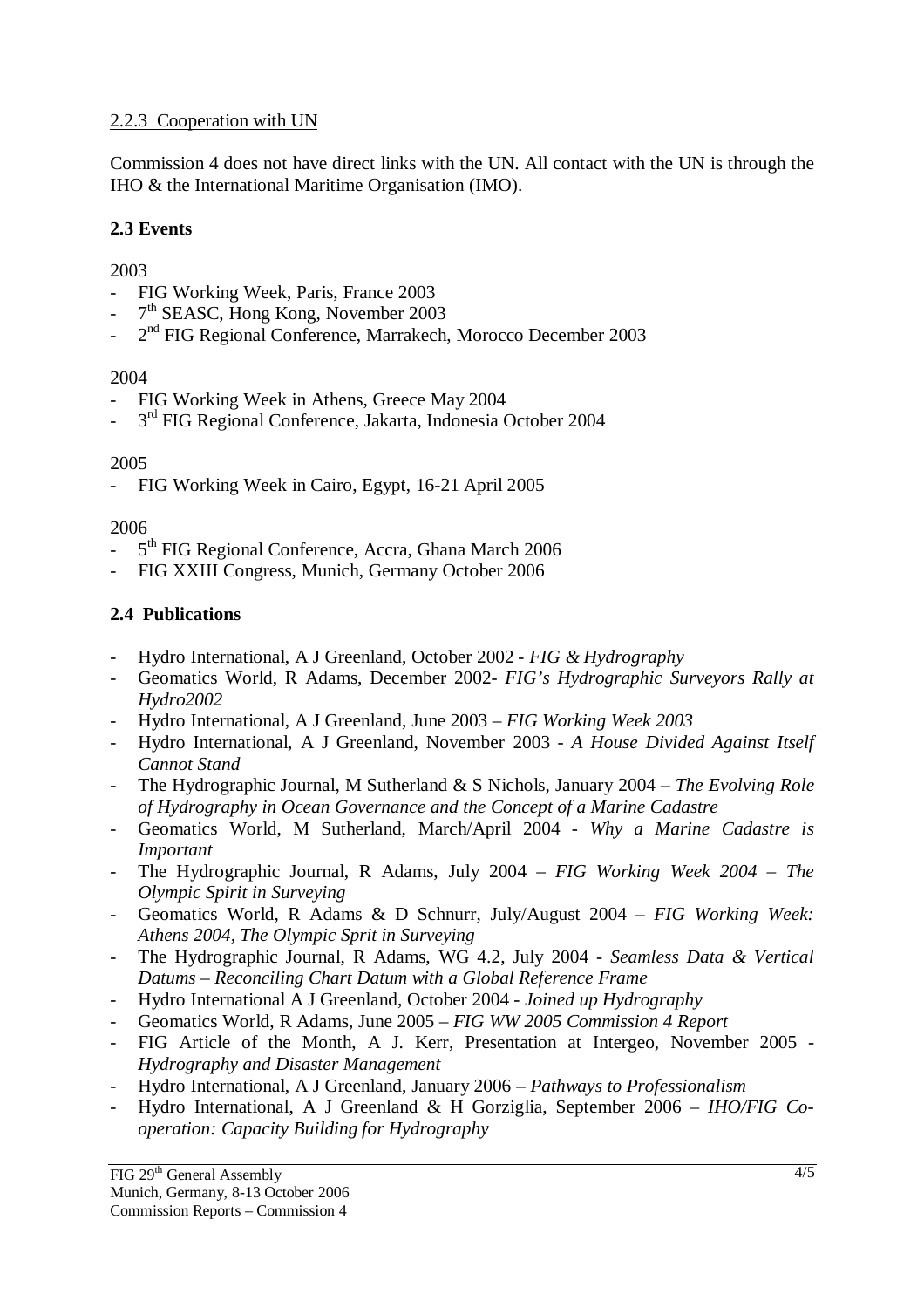#### 2.2.3 Cooperation with UN

Commission 4 does not have direct links with the UN. All contact with the UN is through the IHO & the International Maritime Organisation (IMO).

### **2.3 Events**

## 2003

- FIG Working Week, Paris, France 2003
- 7<sup>th</sup> SEASC, Hong Kong, November 2003
- 2<sup>nd</sup> FIG Regional Conference, Marrakech, Morocco December 2003

## 2004

- FIG Working Week in Athens, Greece May 2004
- 3<sup>rd</sup> FIG Regional Conference, Jakarta, Indonesia October 2004

## 2005

- FIG Working Week in Cairo, Egypt, 16-21 April 2005

## 2006

- 5<sup>th</sup> FIG Regional Conference, Accra, Ghana March 2006
- FIG XXIII Congress, Munich, Germany October 2006

## **2.4 Publications**

- Hydro International, A J Greenland, October 2002 *FIG & Hydrography*
- Geomatics World, R Adams, December 2002- *FIG's Hydrographic Surveyors Rally at Hydro2002*
- Hydro International, A J Greenland, June 2003 *FIG Working Week 2003*
- Hydro International, A J Greenland, November 2003 *A House Divided Against Itself Cannot Stand*
- The Hydrographic Journal, M Sutherland & S Nichols, January 2004 *The Evolving Role of Hydrography in Ocean Governance and the Concept of a Marine Cadastre*
- Geomatics World, M Sutherland, March/April 2004 *Why a Marine Cadastre is Important*
- The Hydrographic Journal, R Adams, July 2004 *FIG Working Week 2004 The Olympic Spirit in Surveying*
- Geomatics World, R Adams & D Schnurr, July/August 2004 *FIG Working Week: Athens 2004, The Olympic Sprit in Surveying*
- The Hydrographic Journal, R Adams, WG 4.2, July 2004 *Seamless Data & Vertical Datums – Reconciling Chart Datum with a Global Reference Frame*
- Hydro International A J Greenland, October 2004 *Joined up Hydrography*
- Geomatics World, R Adams, June 2005 *FIG WW 2005 Commission 4 Report*
- FIG Article of the Month, A J. Kerr, Presentation at Intergeo, November 2005 *Hydrography and Disaster Management*
- Hydro International, A J Greenland, January 2006 *Pathways to Professionalism*
- Hydro International, A J Greenland & H Gorziglia, September 2006 *IHO/FIG Cooperation: Capacity Building for Hydrography*